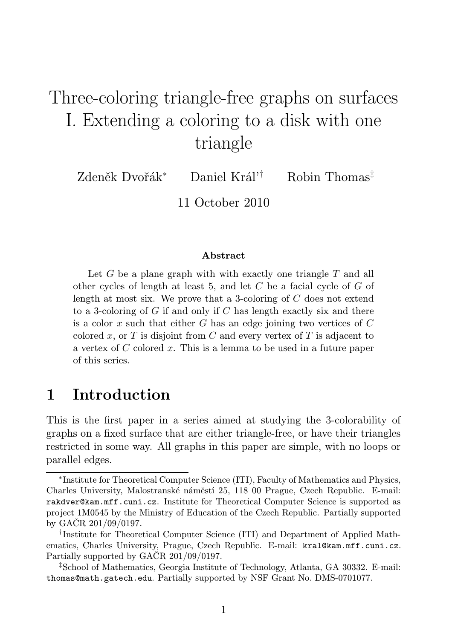# Three-coloring triangle-free graphs on surfaces I. Extending a coloring to a disk with one triangle

Zdeněk Dvořák<sup>∗</sup> Daniel Král'† Robin Thomas‡

11 October 2010

#### Abstract

Let G be a plane graph with with exactly one triangle  $T$  and all other cycles of length at least 5, and let  $C$  be a facial cycle of  $G$  of length at most six. We prove that a 3-coloring of  $C$  does not extend to a 3-coloring of  $G$  if and only if  $C$  has length exactly six and there is a color x such that either  $G$  has an edge joining two vertices of  $C$ colored x, or  $T$  is disjoint from  $C$  and every vertex of  $T$  is adjacent to a vertex of C colored x. This is a lemma to be used in a future paper of this series.

# 1 Introduction

This is the first paper in a series aimed at studying the 3-colorability of graphs on a fixed surface that are either triangle-free, or have their triangles restricted in some way. All graphs in this paper are simple, with no loops or parallel edges.

<sup>∗</sup> Institute for Theoretical Computer Science (ITI), Faculty of Mathematics and Physics, Charles University, Malostranské náměstí 25, 118 00 Prague, Czech Republic. E-mail: rakdver@kam.mff.cuni.cz. Institute for Theoretical Computer Science is supported as project 1M0545 by the Ministry of Education of the Czech Republic. Partially supported by GAČR 201/09/0197.

<sup>†</sup> Institute for Theoretical Computer Science (ITI) and Department of Applied Mathematics, Charles University, Prague, Czech Republic. E-mail: kral@kam.mff.cuni.cz. Partially supported by GAČR 201/09/0197.

<sup>‡</sup>School of Mathematics, Georgia Institute of Technology, Atlanta, GA 30332. E-mail: thomas@math.gatech.edu. Partially supported by NSF Grant No. DMS-0701077.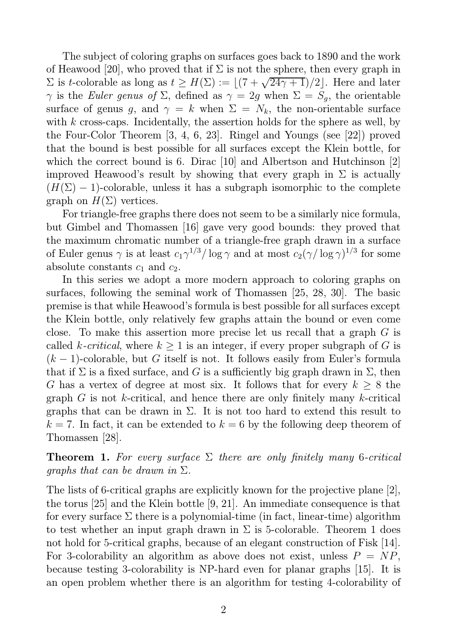The subject of coloring graphs on surfaces goes back to 1890 and the work of Heawood [20], who proved that if  $\Sigma$  is not the sphere, then every graph in  $\Sigma$  is t-colorable as long as  $t \geq H(\Sigma) := \lfloor (7 + \sqrt{24\gamma + 1})/2 \rfloor$ . Here and later  $γ$  is the Euler genus of Σ, defined as  $γ = 2g$  when  $Σ = S_g$ , the orientable surface of genus g, and  $\gamma = k$  when  $\Sigma = N_k$ , the non-orientable surface with  $k$  cross-caps. Incidentally, the assertion holds for the sphere as well, by the Four-Color Theorem [3, 4, 6, 23]. Ringel and Youngs (see [22]) proved that the bound is best possible for all surfaces except the Klein bottle, for which the correct bound is 6. Dirac [10] and Albertson and Hutchinson [2] improved Heawood's result by showing that every graph in  $\Sigma$  is actually  $(H(\Sigma) - 1)$ -colorable, unless it has a subgraph isomorphic to the complete graph on  $H(\Sigma)$  vertices.

For triangle-free graphs there does not seem to be a similarly nice formula, but Gimbel and Thomassen [16] gave very good bounds: they proved that the maximum chromatic number of a triangle-free graph drawn in a surface of Euler genus  $\gamma$  is at least  $c_1\gamma^{1/3}/\log\gamma$  and at most  $c_2(\gamma/\log\gamma)^{1/3}$  for some absolute constants  $c_1$  and  $c_2$ .

In this series we adopt a more modern approach to coloring graphs on surfaces, following the seminal work of Thomassen [25, 28, 30]. The basic premise is that while Heawood's formula is best possible for all surfaces except the Klein bottle, only relatively few graphs attain the bound or even come close. To make this assertion more precise let us recall that a graph G is called k-*critical*, where  $k \geq 1$  is an integer, if every proper subgraph of G is  $(k-1)$ -colorable, but G itself is not. It follows easily from Euler's formula that if  $\Sigma$  is a fixed surface, and G is a sufficiently big graph drawn in  $\Sigma$ , then G has a vertex of degree at most six. It follows that for every  $k \geq 8$  the graph  $G$  is not k-critical, and hence there are only finitely many k-critical graphs that can be drawn in  $\Sigma$ . It is not too hard to extend this result to  $k = 7$ . In fact, it can be extended to  $k = 6$  by the following deep theorem of Thomassen [28].

**Theorem 1.** For every surface  $\Sigma$  there are only finitely many 6-critical *graphs that can be drawn in*  $\Sigma$ .

The lists of 6-critical graphs are explicitly known for the projective plane [2], the torus [25] and the Klein bottle [9, 21]. An immediate consequence is that for every surface  $\Sigma$  there is a polynomial-time (in fact, linear-time) algorithm to test whether an input graph drawn in  $\Sigma$  is 5-colorable. Theorem 1 does not hold for 5-critical graphs, because of an elegant construction of Fisk [14]. For 3-colorability an algorithm as above does not exist, unless  $P = NP$ , because testing 3-colorability is NP-hard even for planar graphs [15]. It is an open problem whether there is an algorithm for testing 4-colorability of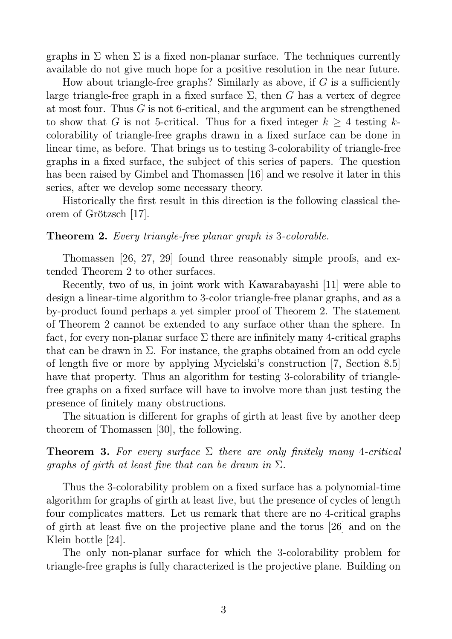graphs in  $\Sigma$  when  $\Sigma$  is a fixed non-planar surface. The techniques currently available do not give much hope for a positive resolution in the near future.

How about triangle-free graphs? Similarly as above, if  $G$  is a sufficiently large triangle-free graph in a fixed surface  $\Sigma$ , then G has a vertex of degree at most four. Thus G is not 6-critical, and the argument can be strengthened to show that G is not 5-critical. Thus for a fixed integer  $k \geq 4$  testing kcolorability of triangle-free graphs drawn in a fixed surface can be done in linear time, as before. That brings us to testing 3-colorability of triangle-free graphs in a fixed surface, the subject of this series of papers. The question has been raised by Gimbel and Thomassen [16] and we resolve it later in this series, after we develop some necessary theory.

Historically the first result in this direction is the following classical theorem of Grötzsch [17].

### Theorem 2. Every triangle-free planar graph is 3-colorable.

Thomassen [26, 27, 29] found three reasonably simple proofs, and extended Theorem 2 to other surfaces.

Recently, two of us, in joint work with Kawarabayashi [11] were able to design a linear-time algorithm to 3-color triangle-free planar graphs, and as a by-product found perhaps a yet simpler proof of Theorem 2. The statement of Theorem 2 cannot be extended to any surface other than the sphere. In fact, for every non-planar surface  $\Sigma$  there are infinitely many 4-critical graphs that can be drawn in  $\Sigma$ . For instance, the graphs obtained from an odd cycle of length five or more by applying Mycielski's construction [7, Section 8.5] have that property. Thus an algorithm for testing 3-colorability of trianglefree graphs on a fixed surface will have to involve more than just testing the presence of finitely many obstructions.

The situation is different for graphs of girth at least five by another deep theorem of Thomassen [30], the following.

**Theorem 3.** For every surface  $\Sigma$  there are only finitely many 4-critical graphs of girth at least five that can be drawn in  $\Sigma$ .

Thus the 3-colorability problem on a fixed surface has a polynomial-time algorithm for graphs of girth at least five, but the presence of cycles of length four complicates matters. Let us remark that there are no 4-critical graphs of girth at least five on the projective plane and the torus [26] and on the Klein bottle [24].

The only non-planar surface for which the 3-colorability problem for triangle-free graphs is fully characterized is the projective plane. Building on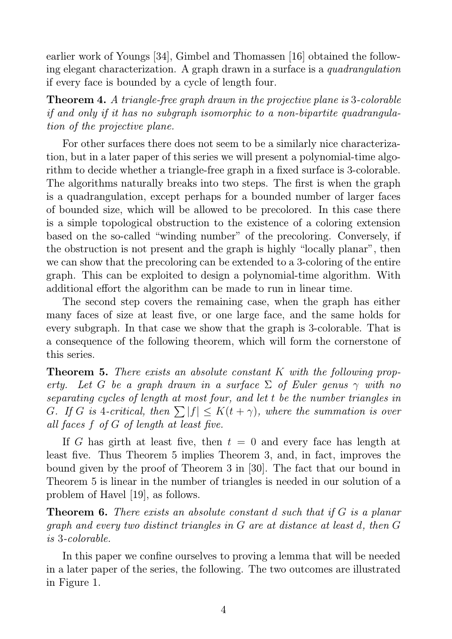earlier work of Youngs [34], Gimbel and Thomassen [16] obtained the following elegant characterization. A graph drawn in a surface is a quadrangulation if every face is bounded by a cycle of length four.

Theorem 4. A triangle-free graph drawn in the projective plane is 3-colorable if and only if it has no subgraph isomorphic to a non-bipartite quadrangulation of the projective plane.

For other surfaces there does not seem to be a similarly nice characterization, but in a later paper of this series we will present a polynomial-time algorithm to decide whether a triangle-free graph in a fixed surface is 3-colorable. The algorithms naturally breaks into two steps. The first is when the graph is a quadrangulation, except perhaps for a bounded number of larger faces of bounded size, which will be allowed to be precolored. In this case there is a simple topological obstruction to the existence of a coloring extension based on the so-called "winding number" of the precoloring. Conversely, if the obstruction is not present and the graph is highly "locally planar", then we can show that the precoloring can be extended to a 3-coloring of the entire graph. This can be exploited to design a polynomial-time algorithm. With additional effort the algorithm can be made to run in linear time.

The second step covers the remaining case, when the graph has either many faces of size at least five, or one large face, and the same holds for every subgraph. In that case we show that the graph is 3-colorable. That is a consequence of the following theorem, which will form the cornerstone of this series.

**Theorem 5.** There exists an absolute constant K with the following property. Let G be a graph drawn in a surface  $\Sigma$  of Euler genus  $\gamma$  with no separating cycles of length at most four, and let t be the number triangles in G. If G is 4-critical, then  $\sum |f| \leq K(t + \gamma)$ , where the summation is over all faces f of G of length at least five.

If G has girth at least five, then  $t = 0$  and every face has length at least five. Thus Theorem 5 implies Theorem 3, and, in fact, improves the bound given by the proof of Theorem 3 in [30]. The fact that our bound in Theorem 5 is linear in the number of triangles is needed in our solution of a problem of Havel [19], as follows.

**Theorem 6.** There exists an absolute constant d such that if G is a planar graph and every two distinct triangles in G are at distance at least d, then G is 3-colorable.

In this paper we confine ourselves to proving a lemma that will be needed in a later paper of the series, the following. The two outcomes are illustrated in Figure 1.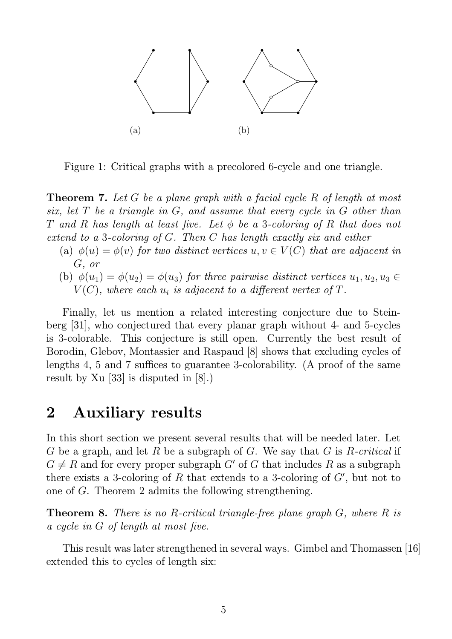

Figure 1: Critical graphs with a precolored 6-cycle and one triangle.

**Theorem 7.** Let G be a plane graph with a facial cycle R of length at most six, let T be a triangle in G, and assume that every cycle in G other than T and R has length at least five. Let  $\phi$  be a 3-coloring of R that does not extend to a 3-coloring of G. Then C has length exactly six and either

- (a)  $\phi(u) = \phi(v)$  for two distinct vertices  $u, v \in V(C)$  that are adjacent in G, or
- (b)  $\phi(u_1) = \phi(u_2) = \phi(u_3)$  for three pairwise distinct vertices  $u_1, u_2, u_3 \in$  $V(C)$ , where each  $u_i$  is adjacent to a different vertex of  $T$ .

Finally, let us mention a related interesting conjecture due to Steinberg [31], who conjectured that every planar graph without 4- and 5-cycles is 3-colorable. This conjecture is still open. Currently the best result of Borodin, Glebov, Montassier and Raspaud [8] shows that excluding cycles of lengths 4, 5 and 7 suffices to guarantee 3-colorability. (A proof of the same result by Xu [33] is disputed in [8].)

# 2 Auxiliary results

In this short section we present several results that will be needed later. Let G be a graph, and let R be a subgraph of G. We say that G is R-critical if  $G \neq R$  and for every proper subgraph G' of G that includes R as a subgraph there exists a 3-coloring of  $R$  that extends to a 3-coloring of  $G'$ , but not to one of G. Theorem 2 admits the following strengthening.

**Theorem 8.** There is no R-critical triangle-free plane graph  $G$ , where  $R$  is a cycle in G of length at most five.

This result was later strengthened in several ways. Gimbel and Thomassen [16] extended this to cycles of length six: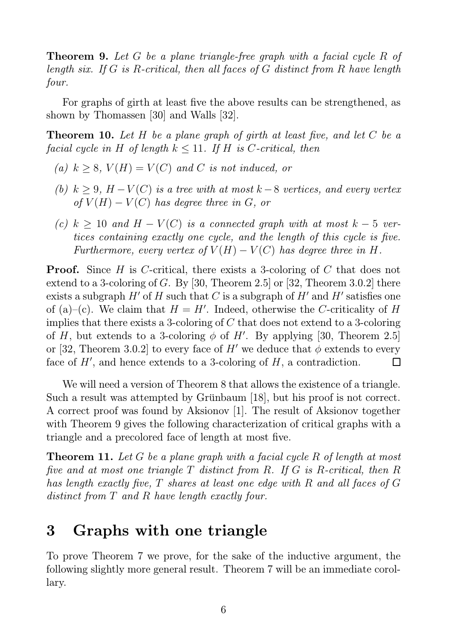Theorem 9. Let G be a plane triangle-free graph with a facial cycle R of length six. If G is R-critical, then all faces of G distinct from R have length four.

For graphs of girth at least five the above results can be strengthened, as shown by Thomassen [30] and Walls [32].

**Theorem 10.** Let H be a plane graph of girth at least five, and let C be a facial cycle in H of length  $k \leq 11$ . If H is C-critical, then

- (a)  $k \geq 8$ ,  $V(H) = V(C)$  and C is not induced, or
- (b)  $k \geq 9$ ,  $H V(C)$  is a tree with at most  $k 8$  vertices, and every vertex of  $V(H) - V(C)$  has degree three in G, or
- (c)  $k \geq 10$  and  $H V(C)$  is a connected graph with at most  $k 5$  vertices containing exactly one cycle, and the length of this cycle is five. Furthermore, every vertex of  $V(H) - V(C)$  has degree three in H.

**Proof.** Since H is C-critical, there exists a 3-coloring of C that does not extend to a 3-coloring of G. By [30, Theorem 2.5] or [32, Theorem 3.0.2] there exists a subgraph  $H'$  of  $H$  such that  $C$  is a subgraph of  $H'$  and  $H'$  satisfies one of (a)–(c). We claim that  $H = H'$ . Indeed, otherwise the C-criticality of H implies that there exists a 3-coloring of  $C$  that does not extend to a 3-coloring of H, but extends to a 3-coloring  $\phi$  of H'. By applying [30, Theorem 2.5] or [32, Theorem 3.0.2] to every face of H' we deduce that  $\phi$  extends to every face of  $H'$ , and hence extends to a 3-coloring of  $H$ , a contradiction. П

We will need a version of Theorem 8 that allows the existence of a triangle. Such a result was attempted by Grünbaum [18], but his proof is not correct. A correct proof was found by Aksionov [1]. The result of Aksionov together with Theorem 9 gives the following characterization of critical graphs with a triangle and a precolored face of length at most five.

**Theorem 11.** Let G be a plane graph with a facial cycle R of length at most five and at most one triangle T distinct from R. If G is R-critical, then R has length exactly five, T shares at least one edge with R and all faces of G distinct from T and R have length exactly four.

# 3 Graphs with one triangle

To prove Theorem 7 we prove, for the sake of the inductive argument, the following slightly more general result. Theorem 7 will be an immediate corollary.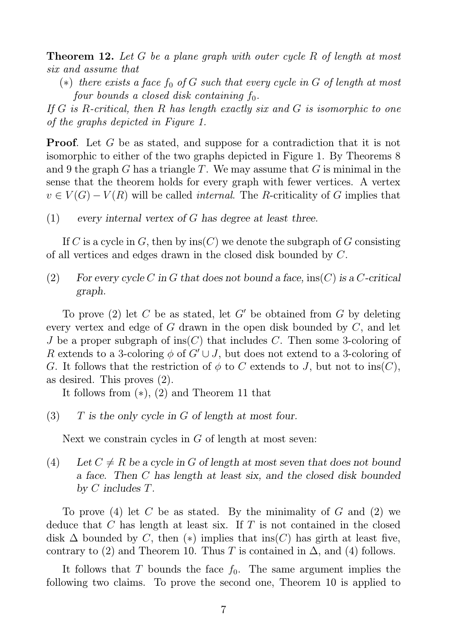**Theorem 12.** Let G be a plane graph with outer cycle R of length at most six and assume that

(\*) there exists a face  $f_0$  of G such that every cycle in G of length at most four bounds a closed disk containing  $f_0$ .

If G is R-critical, then R has length exactly six and G is isomorphic to one of the graphs depicted in Figure 1.

**Proof.** Let G be as stated, and suppose for a contradiction that it is not isomorphic to either of the two graphs depicted in Figure 1. By Theorems 8 and 9 the graph G has a triangle T. We may assume that G is minimal in the sense that the theorem holds for every graph with fewer vertices. A vertex  $v \in V(G) - V(R)$  will be called *internal*. The R-criticality of G implies that

(1) every internal vertex of G has degree at least three.

If C is a cycle in G, then by  $\text{ins}(C)$  we denote the subgraph of G consisting of all vertices and edges drawn in the closed disk bounded by C.

(2) For every cycle C in G that does not bound a face,  $ins(C)$  is a C-critical graph.

To prove (2) let C be as stated, let G' be obtained from G by deleting every vertex and edge of G drawn in the open disk bounded by C, and let J be a proper subgraph of ins(C) that includes C. Then some 3-coloring of R extends to a 3-coloring  $\phi$  of  $G' \cup J$ , but does not extend to a 3-coloring of G. It follows that the restriction of  $\phi$  to C extends to J, but not to ins(C), as desired. This proves (2).

It follows from (∗), (2) and Theorem 11 that

 $(3)$  T is the only cycle in G of length at most four.

Next we constrain cycles in  $G$  of length at most seven:

(4) Let  $C \neq R$  be a cycle in G of length at most seven that does not bound a face. Then C has length at least six, and the closed disk bounded by C includes T.

To prove (4) let C be as stated. By the minimality of G and (2) we deduce that  $C$  has length at least six. If  $T$  is not contained in the closed disk  $\Delta$  bounded by C, then (\*) implies that ins(C) has girth at least five, contrary to (2) and Theorem 10. Thus T is contained in  $\Delta$ , and (4) follows.

It follows that T bounds the face  $f_0$ . The same argument implies the following two claims. To prove the second one, Theorem 10 is applied to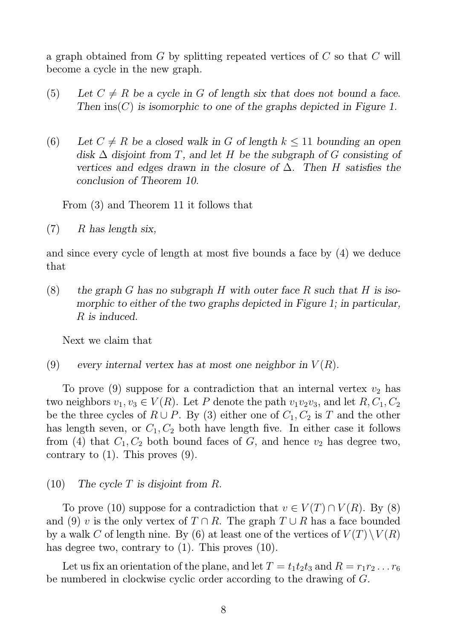a graph obtained from  $G$  by splitting repeated vertices of  $C$  so that  $C$  will become a cycle in the new graph.

- (5) Let  $C \neq R$  be a cycle in G of length six that does not bound a face. Then  $\text{ins}(C)$  is isomorphic to one of the graphs depicted in Figure 1.
- (6) Let  $C \neq R$  be a closed walk in G of length  $k \leq 11$  bounding an open disk  $\Delta$  disjoint from T, and let H be the subgraph of G consisting of vertices and edges drawn in the closure of  $\Delta$ . Then H satisfies the conclusion of Theorem 10.

From (3) and Theorem 11 it follows that

 $(7)$  R has length six,

and since every cycle of length at most five bounds a face by (4) we deduce that

(8) the graph G has no subgraph H with outer face R such that H is isomorphic to either of the two graphs depicted in Figure 1; in particular, R is induced.

Next we claim that

(9) every internal vertex has at most one neighbor in  $V(R)$ .

To prove (9) suppose for a contradiction that an internal vertex  $v_2$  has two neighbors  $v_1, v_3 \in V(R)$ . Let P denote the path  $v_1v_2v_3$ , and let  $R, C_1, C_2$ be the three cycles of  $R \cup P$ . By (3) either one of  $C_1, C_2$  is T and the other has length seven, or  $C_1, C_2$  both have length five. In either case it follows from (4) that  $C_1, C_2$  both bound faces of G, and hence  $v_2$  has degree two, contrary to  $(1)$ . This proves  $(9)$ .

### $(10)$  The cycle T is disjoint from R.

To prove (10) suppose for a contradiction that  $v \in V(T) \cap V(R)$ . By (8) and (9) v is the only vertex of  $T \cap R$ . The graph  $T \cup R$  has a face bounded by a walk C of length nine. By (6) at least one of the vertices of  $V(T)\setminus V(R)$ has degree two, contrary to  $(1)$ . This proves  $(10)$ .

Let us fix an orientation of the plane, and let  $T = t_1t_2t_3$  and  $R = r_1r_2...r_6$ be numbered in clockwise cyclic order according to the drawing of G.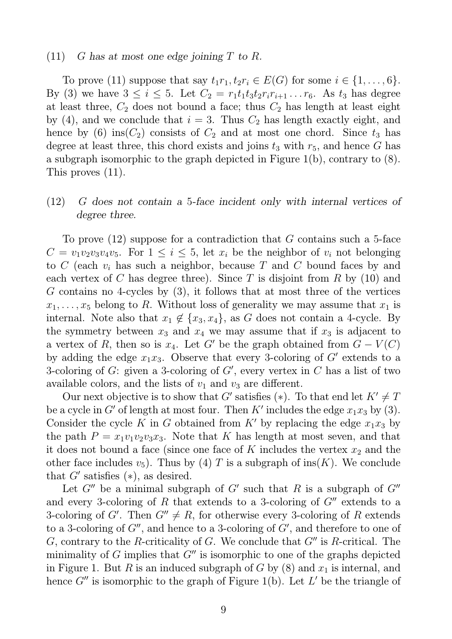#### $(11)$  G has at most one edge joining T to R.

To prove (11) suppose that say  $t_1r_1, t_2r_i \in E(G)$  for some  $i \in \{1, \ldots, 6\}.$ By (3) we have  $3 \le i \le 5$ . Let  $C_2 = r_1 t_1 t_3 t_2 r_i r_{i+1} \ldots r_6$ . As  $t_3$  has degree at least three,  $C_2$  does not bound a face; thus  $C_2$  has length at least eight by (4), and we conclude that  $i = 3$ . Thus  $C_2$  has length exactly eight, and hence by (6) ins $(C_2)$  consists of  $C_2$  and at most one chord. Since  $t_3$  has degree at least three, this chord exists and joins  $t_3$  with  $r_5$ , and hence G has a subgraph isomorphic to the graph depicted in Figure 1(b), contrary to (8). This proves (11).

# (12) G does not contain a 5-face incident only with internal vertices of degree three.

To prove  $(12)$  suppose for a contradiction that G contains such a 5-face  $C = v_1v_2v_3v_4v_5$ . For  $1 \leq i \leq 5$ , let  $x_i$  be the neighbor of  $v_i$  not belonging to C (each  $v_i$  has such a neighbor, because T and C bound faces by and each vertex of C has degree three). Since T is disjoint from R by  $(10)$  and  $G$  contains no 4-cycles by  $(3)$ , it follows that at most three of the vertices  $x_1, \ldots, x_5$  belong to R. Without loss of generality we may assume that  $x_1$  is internal. Note also that  $x_1 \notin \{x_3, x_4\}$ , as G does not contain a 4-cycle. By the symmetry between  $x_3$  and  $x_4$  we may assume that if  $x_3$  is adjacent to a vertex of R, then so is  $x_4$ . Let G' be the graph obtained from  $G - V(C)$ by adding the edge  $x_1x_3$ . Observe that every 3-coloring of G' extends to a 3-coloring of  $G$ : given a 3-coloring of  $G'$ , every vertex in  $C$  has a list of two available colors, and the lists of  $v_1$  and  $v_3$  are different.

Our next objective is to show that G' satisfies (\*). To that end let  $K' \neq T$ be a cycle in G' of length at most four. Then K' includes the edge  $x_1x_3$  by (3). Consider the cycle K in G obtained from K' by replacing the edge  $x_1x_3$  by the path  $P = x_1v_1v_2v_3x_3$ . Note that K has length at most seven, and that it does not bound a face (since one face of K includes the vertex  $x_2$  and the other face includes  $v_5$ ). Thus by (4) T is a subgraph of ins(K). We conclude that  $G'$  satisfies  $(*),$  as desired.

Let  $G''$  be a minimal subgraph of  $G'$  such that R is a subgraph of  $G''$ and every 3-coloring of R that extends to a 3-coloring of  $G''$  extends to a 3-coloring of G'. Then  $G'' \neq R$ , for otherwise every 3-coloring of R extends to a 3-coloring of  $G''$ , and hence to a 3-coloring of  $G'$ , and therefore to one of G, contrary to the R-criticality of G. We conclude that  $G''$  is R-critical. The minimality of  $G$  implies that  $G''$  is isomorphic to one of the graphs depicted in Figure 1. But R is an induced subgraph of G by  $(8)$  and  $x_1$  is internal, and hence  $G''$  is isomorphic to the graph of Figure 1(b). Let  $L'$  be the triangle of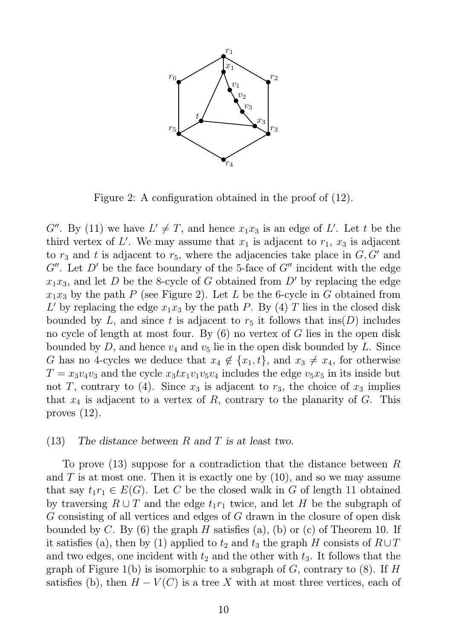

Figure 2: A configuration obtained in the proof of (12).

 $G''$ . By (11) we have  $L' \neq T$ , and hence  $x_1x_3$  is an edge of L'. Let t be the third vertex of L'. We may assume that  $x_1$  is adjacent to  $r_1$ ,  $x_3$  is adjacent to  $r_3$  and t is adjacent to  $r_5$ , where the adjacencies take place in  $G, G'$  and  $G''$ . Let D' be the face boundary of the 5-face of  $G''$  incident with the edge  $x_1x_3$ , and let D be the 8-cycle of G obtained from D' by replacing the edge  $x_1x_3$  by the path P (see Figure 2). Let L be the 6-cycle in G obtained from L' by replacing the edge  $x_1x_3$  by the path P. By (4) T lies in the closed disk bounded by L, and since t is adjacent to  $r_5$  it follows that ins(D) includes no cycle of length at most four. By (6) no vertex of G lies in the open disk bounded by D, and hence  $v_4$  and  $v_5$  lie in the open disk bounded by L. Since G has no 4-cycles we deduce that  $x_4 \notin \{x_1, t\}$ , and  $x_3 \neq x_4$ , for otherwise  $T = x_3v_4v_3$  and the cycle  $x_3tx_1v_1v_5v_4$  includes the edge  $v_5x_5$  in its inside but not T, contrary to (4). Since  $x_3$  is adjacent to  $r_3$ , the choice of  $x_3$  implies that  $x_4$  is adjacent to a vertex of R, contrary to the planarity of G. This proves (12).

### (13) The distance between R and T is at least two.

To prove  $(13)$  suppose for a contradiction that the distance between R and  $T$  is at most one. Then it is exactly one by  $(10)$ , and so we may assume that say  $t_1r_1 \in E(G)$ . Let C be the closed walk in G of length 11 obtained by traversing  $R \cup T$  and the edge  $t_1r_1$  twice, and let H be the subgraph of G consisting of all vertices and edges of G drawn in the closure of open disk bounded by C. By  $(6)$  the graph H satisfies  $(a)$ ,  $(b)$  or  $(c)$  of Theorem 10. If it satisfies (a), then by (1) applied to  $t_2$  and  $t_3$  the graph H consists of  $R\cup T$ and two edges, one incident with  $t_2$  and the other with  $t_3$ . It follows that the graph of Figure 1(b) is isomorphic to a subgraph of  $G$ , contrary to  $(8)$ . If H satisfies (b), then  $H - V(C)$  is a tree X with at most three vertices, each of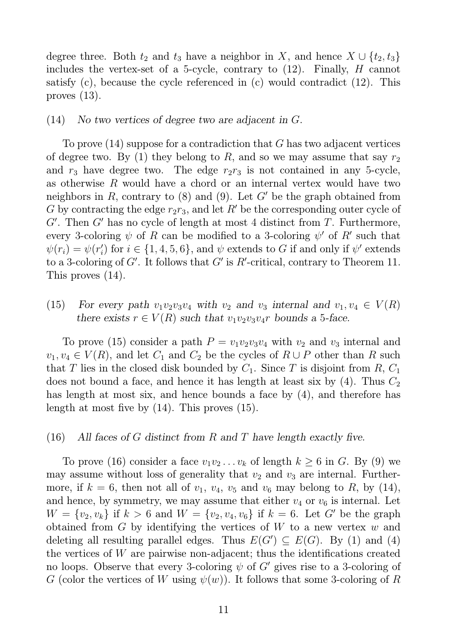degree three. Both  $t_2$  and  $t_3$  have a neighbor in X, and hence  $X \cup \{t_2, t_3\}$ includes the vertex-set of a 5-cycle, contrary to (12). Finally, H cannot satisfy (c), because the cycle referenced in (c) would contradict (12). This proves (13).

#### (14) No two vertices of degree two are adjacent in G.

To prove (14) suppose for a contradiction that G has two adjacent vertices of degree two. By (1) they belong to R, and so we may assume that say  $r_2$ and  $r_3$  have degree two. The edge  $r_2r_3$  is not contained in any 5-cycle, as otherwise R would have a chord or an internal vertex would have two neighbors in R, contrary to  $(8)$  and  $(9)$ . Let G' be the graph obtained from G by contracting the edge  $r_2r_3$ , and let R' be the corresponding outer cycle of  $G'$ . Then  $G'$  has no cycle of length at most 4 distinct from  $T$ . Furthermore, every 3-coloring  $\psi$  of R can be modified to a 3-coloring  $\psi'$  of R' such that  $\psi(r_i) = \psi(r'_i)$ (i) for  $i \in \{1, 4, 5, 6\}$ , and  $\psi$  extends to G if and only if  $\psi'$  extends to a 3-coloring of  $G'$ . It follows that  $G'$  is  $R'$ -critical, contrary to Theorem 11. This proves (14).

(15) For every path  $v_1v_2v_3v_4$  with  $v_2$  and  $v_3$  internal and  $v_1, v_4 \in V(R)$ there exists  $r \in V(R)$  such that  $v_1v_2v_3v_4r$  bounds a 5-face.

To prove (15) consider a path  $P = v_1v_2v_3v_4$  with  $v_2$  and  $v_3$  internal and  $v_1, v_4 \in V(R)$ , and let  $C_1$  and  $C_2$  be the cycles of  $R \cup P$  other than R such that T lies in the closed disk bounded by  $C_1$ . Since T is disjoint from R,  $C_1$ does not bound a face, and hence it has length at least six by  $(4)$ . Thus  $C_2$ has length at most six, and hence bounds a face by (4), and therefore has length at most five by (14). This proves (15).

### (16) All faces of G distinct from R and T have length exactly five.

To prove (16) consider a face  $v_1v_2 \ldots v_k$  of length  $k \geq 6$  in G. By (9) we may assume without loss of generality that  $v_2$  and  $v_3$  are internal. Furthermore, if  $k = 6$ , then not all of  $v_1$ ,  $v_4$ ,  $v_5$  and  $v_6$  may belong to R, by (14), and hence, by symmetry, we may assume that either  $v_4$  or  $v_6$  is internal. Let  $W = \{v_2, v_k\}$  if  $k > 6$  and  $W = \{v_2, v_4, v_6\}$  if  $k = 6$ . Let G' be the graph obtained from  $G$  by identifying the vertices of  $W$  to a new vertex  $w$  and deleting all resulting parallel edges. Thus  $E(G') \subseteq E(G)$ . By (1) and (4) the vertices of W are pairwise non-adjacent; thus the identifications created no loops. Observe that every 3-coloring  $\psi$  of  $G'$  gives rise to a 3-coloring of G (color the vertices of W using  $\psi(w)$ ). It follows that some 3-coloring of R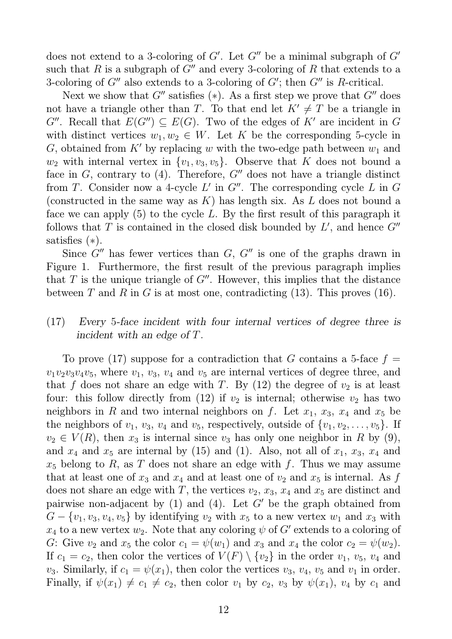does not extend to a 3-coloring of  $G'$ . Let  $G''$  be a minimal subgraph of  $G'$ such that R is a subgraph of  $G''$  and every 3-coloring of R that extends to a 3-coloring of  $G''$  also extends to a 3-coloring of  $G'$ ; then  $G''$  is R-critical.

Next we show that  $G''$  satisfies (\*). As a first step we prove that  $G''$  does not have a triangle other than T. To that end let  $K' \neq T$  be a triangle in G''. Recall that  $E(G'') \subseteq E(G)$ . Two of the edges of K' are incident in G with distinct vertices  $w_1, w_2 \in W$ . Let K be the corresponding 5-cycle in G, obtained from K' by replacing w with the two-edge path between  $w_1$  and  $w_2$  with internal vertex in  $\{v_1, v_3, v_5\}$ . Observe that K does not bound a face in  $G$ , contrary to (4). Therefore,  $G''$  does not have a triangle distinct from T. Consider now a 4-cycle  $L'$  in  $G''$ . The corresponding cycle  $L$  in  $G$ (constructed in the same way as K) has length six. As  $L$  does not bound a face we can apply  $(5)$  to the cycle L. By the first result of this paragraph it follows that  $T$  is contained in the closed disk bounded by  $L'$ , and hence  $G''$ satisfies  $(*)$ .

Since  $G''$  has fewer vertices than  $G, G''$  is one of the graphs drawn in Figure 1. Furthermore, the first result of the previous paragraph implies that  $T$  is the unique triangle of  $G''$ . However, this implies that the distance between T and R in G is at most one, contradicting  $(13)$ . This proves  $(16)$ .

# (17) Every 5-face incident with four internal vertices of degree three is incident with an edge of T.

To prove (17) suppose for a contradiction that G contains a 5-face  $f =$  $v_1v_2v_3v_4v_5$ , where  $v_1, v_3, v_4$  and  $v_5$  are internal vertices of degree three, and that f does not share an edge with T. By  $(12)$  the degree of  $v_2$  is at least four: this follow directly from (12) if  $v_2$  is internal; otherwise  $v_2$  has two neighbors in R and two internal neighbors on f. Let  $x_1, x_3, x_4$  and  $x_5$  be the neighbors of  $v_1, v_3, v_4$  and  $v_5$ , respectively, outside of  $\{v_1, v_2, \ldots, v_5\}$ . If  $v_2 \in V(R)$ , then  $x_3$  is internal since  $v_3$  has only one neighbor in R by (9), and  $x_4$  and  $x_5$  are internal by (15) and (1). Also, not all of  $x_1, x_3, x_4$  and  $x_5$  belong to R, as T does not share an edge with f. Thus we may assume that at least one of  $x_3$  and  $x_4$  and at least one of  $v_2$  and  $x_5$  is internal. As f does not share an edge with T, the vertices  $v_2$ ,  $x_3$ ,  $x_4$  and  $x_5$  are distinct and pairwise non-adjacent by  $(1)$  and  $(4)$ . Let G' be the graph obtained from  $G - \{v_1, v_3, v_4, v_5\}$  by identifying  $v_2$  with  $x_5$  to a new vertex  $w_1$  and  $x_3$  with  $x_4$  to a new vertex  $w_2$ . Note that any coloring  $\psi$  of  $G'$  extends to a coloring of G: Give  $v_2$  and  $x_5$  the color  $c_1 = \psi(w_1)$  and  $x_3$  and  $x_4$  the color  $c_2 = \psi(w_2)$ . If  $c_1 = c_2$ , then color the vertices of  $V(F) \setminus \{v_2\}$  in the order  $v_1, v_5, v_4$  and  $v_3$ . Similarly, if  $c_1 = \psi(x_1)$ , then color the vertices  $v_3$ ,  $v_4$ ,  $v_5$  and  $v_1$  in order. Finally, if  $\psi(x_1) \neq c_1 \neq c_2$ , then color  $v_1$  by  $c_2$ ,  $v_3$  by  $\psi(x_1)$ ,  $v_4$  by  $c_1$  and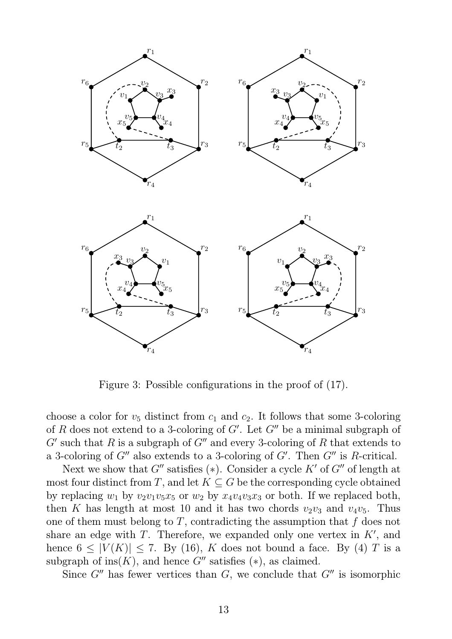

Figure 3: Possible configurations in the proof of (17).

choose a color for  $v_5$  distinct from  $c_1$  and  $c_2$ . It follows that some 3-coloring of R does not extend to a 3-coloring of  $G'$ . Let  $G''$  be a minimal subgraph of  $G'$  such that R is a subgraph of  $G''$  and every 3-coloring of R that extends to a 3-coloring of  $G''$  also extends to a 3-coloring of  $G'$ . Then  $G''$  is R-critical.

Next we show that  $G''$  satisfies (\*). Consider a cycle  $K'$  of  $G''$  of length at most four distinct from T, and let  $K \subseteq G$  be the corresponding cycle obtained by replacing  $w_1$  by  $v_2v_1v_5x_5$  or  $w_2$  by  $x_4v_4v_3x_3$  or both. If we replaced both, then K has length at most 10 and it has two chords  $v_2v_3$  and  $v_4v_5$ . Thus one of them must belong to  $T$ , contradicting the assumption that  $f$  does not share an edge with  $T$ . Therefore, we expanded only one vertex in  $K'$ , and hence  $6 \leq |V(K)| \leq 7$ . By (16), K does not bound a face. By (4) T is a subgraph of ins $(K)$ , and hence  $G''$  satisfies  $(*)$ , as claimed.

Since  $G''$  has fewer vertices than  $G$ , we conclude that  $G''$  is isomorphic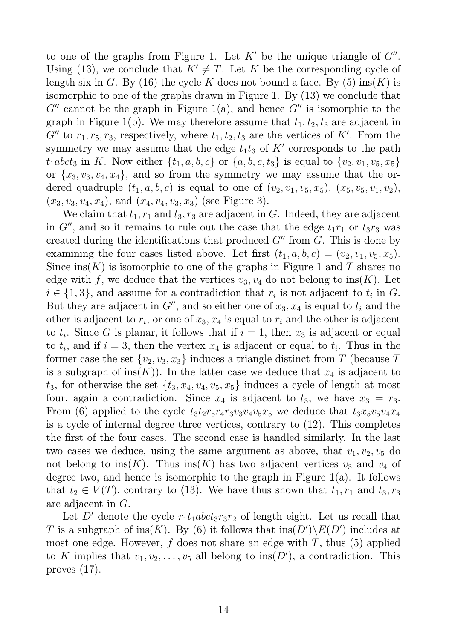to one of the graphs from Figure 1. Let  $K'$  be the unique triangle of  $G''$ . Using (13), we conclude that  $K' \neq T$ . Let K be the corresponding cycle of length six in G. By (16) the cycle K does not bound a face. By (5) ins(K) is isomorphic to one of the graphs drawn in Figure 1. By (13) we conclude that  $G''$  cannot be the graph in Figure 1(a), and hence  $G''$  is isomorphic to the graph in Figure 1(b). We may therefore assume that  $t_1, t_2, t_3$  are adjacent in  $G''$  to  $r_1, r_5, r_3$ , respectively, where  $t_1, t_2, t_3$  are the vertices of K'. From the symmetry we may assume that the edge  $t_1t_3$  of  $K'$  corresponds to the path  $t_1abc_3$  in K. Now either  $\{t_1, a, b, c\}$  or  $\{a, b, c, t_3\}$  is equal to  $\{v_2, v_1, v_5, x_5\}$ or  $\{x_3, v_3, v_4, x_4\}$ , and so from the symmetry we may assume that the ordered quadruple  $(t_1, a, b, c)$  is equal to one of  $(v_2, v_1, v_5, x_5), (x_5, v_5, v_1, v_2),$  $(x_3, v_3, v_4, x_4)$ , and  $(x_4, v_4, v_3, x_3)$  (see Figure 3).

We claim that  $t_1, r_1$  and  $t_3, r_3$  are adjacent in G. Indeed, they are adjacent in G'', and so it remains to rule out the case that the edge  $t_1r_1$  or  $t_3r_3$  was created during the identifications that produced  $G''$  from  $G$ . This is done by examining the four cases listed above. Let first  $(t_1, a, b, c) = (v_2, v_1, v_5, x_5)$ . Since ins(K) is isomorphic to one of the graphs in Figure 1 and T shares no edge with f, we deduce that the vertices  $v_3, v_4$  do not belong to ins(K). Let  $i \in \{1,3\}$ , and assume for a contradiction that  $r_i$  is not adjacent to  $t_i$  in  $G$ . But they are adjacent in  $G''$ , and so either one of  $x_3, x_4$  is equal to  $t_i$  and the other is adjacent to  $r_i$ , or one of  $x_3, x_4$  is equal to  $r_i$  and the other is adjacent to  $t_i$ . Since G is planar, it follows that if  $i = 1$ , then  $x_3$  is adjacent or equal to  $t_i$ , and if  $i = 3$ , then the vertex  $x_4$  is adjacent or equal to  $t_i$ . Thus in the former case the set  $\{v_2, v_3, x_3\}$  induces a triangle distinct from T (because T is a subgraph of ins $(K)$ ). In the latter case we deduce that  $x_4$  is adjacent to  $t_3$ , for otherwise the set  $\{t_3, x_4, v_4, v_5, x_5\}$  induces a cycle of length at most four, again a contradiction. Since  $x_4$  is adjacent to  $t_3$ , we have  $x_3 = r_3$ . From (6) applied to the cycle  $t_3t_2r_5r_4r_3v_3v_4v_5x_5$  we deduce that  $t_3x_5v_5v_4x_4$ is a cycle of internal degree three vertices, contrary to (12). This completes the first of the four cases. The second case is handled similarly. In the last two cases we deduce, using the same argument as above, that  $v_1, v_2, v_5$  do not belong to ins(K). Thus ins(K) has two adjacent vertices  $v_3$  and  $v_4$  of degree two, and hence is isomorphic to the graph in Figure  $1(a)$ . It follows that  $t_2 \in V(T)$ , contrary to (13). We have thus shown that  $t_1, r_1$  and  $t_3, r_3$ are adjacent in G.

Let D' denote the cycle  $r_1t_1abct_3r_3r_2$  of length eight. Let us recall that T is a subgraph of  $\text{ins}(K)$ . By (6) it follows that  $\text{ins}(D')\backslash E(D')$  includes at most one edge. However,  $f$  does not share an edge with  $T$ , thus (5) applied to K implies that  $v_1, v_2, \ldots, v_5$  all belong to ins $(D')$ , a contradiction. This proves (17).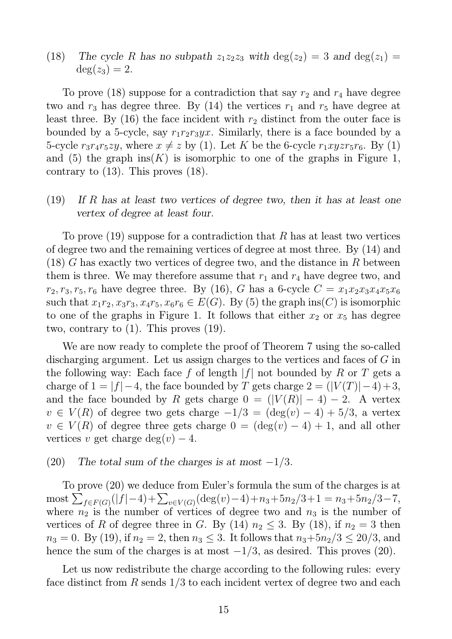(18) The cycle R has no subpath  $z_1z_2z_3$  with  $\deg(z_2) = 3$  and  $\deg(z_1) =$  $deg(z_3) = 2.$ 

To prove (18) suppose for a contradiction that say  $r_2$  and  $r_4$  have degree two and  $r_3$  has degree three. By (14) the vertices  $r_1$  and  $r_5$  have degree at least three. By  $(16)$  the face incident with  $r_2$  distinct from the outer face is bounded by a 5-cycle, say  $r_1r_2r_3yx$ . Similarly, there is a face bounded by a 5-cycle  $r_3r_4r_5zy$ , where  $x \neq z$  by (1). Let K be the 6-cycle  $r_1xyzr_5r_6$ . By (1) and (5) the graph  $ins(K)$  is isomorphic to one of the graphs in Figure 1, contrary to (13). This proves (18).

# $(19)$  If R has at least two vertices of degree two, then it has at least one vertex of degree at least four.

To prove  $(19)$  suppose for a contradiction that R has at least two vertices of degree two and the remaining vertices of degree at most three. By (14) and  $(18)$  G has exactly two vertices of degree two, and the distance in R between them is three. We may therefore assume that  $r_1$  and  $r_4$  have degree two, and  $r_2, r_3, r_5, r_6$  have degree three. By (16), G has a 6-cycle  $C = x_1x_2x_3x_4x_5x_6$ such that  $x_1r_2, x_3r_3, x_4r_5, x_6r_6 \in E(G)$ . By (5) the graph ins(C) is isomorphic to one of the graphs in Figure 1. It follows that either  $x_2$  or  $x_5$  has degree two, contrary to (1). This proves (19).

We are now ready to complete the proof of Theorem 7 using the so-called discharging argument. Let us assign charges to the vertices and faces of G in the following way: Each face f of length  $|f|$  not bounded by R or T gets a charge of  $1 = |f| - 4$ , the face bounded by T gets charge  $2 = (|V(T)| - 4) + 3$ , and the face bounded by R gets charge  $0 = (|V(R)| - 4) - 2$ . A vertex  $v \in V(R)$  of degree two gets charge  $-1/3 = (\deg(v) - 4) + 5/3$ , a vertex  $v \in V(R)$  of degree three gets charge  $0 = (\deg(v) - 4) + 1$ , and all other vertices v get charge  $deg(v) - 4$ .

### (20) The total sum of the charges is at most  $-1/3$ .

To prove (20) we deduce from Euler's formula the sum of the charges is at  $\text{most } \sum_{f \in F(G)} (|f| - 4) + \sum_{v \in V(G)} (\text{deg}(v) - 4) + n_3 + 5n_2/3 + 1 = n_3 + 5n_2/3 - 7,$ where  $n_2$  is the number of vertices of degree two and  $n_3$  is the number of vertices of R of degree three in G. By (14)  $n_2 \leq 3$ . By (18), if  $n_2 = 3$  then  $n_3 = 0$ . By (19), if  $n_2 = 2$ , then  $n_3 \leq 3$ . It follows that  $n_3 + 5n_2/3 \leq 20/3$ , and hence the sum of the charges is at most  $-1/3$ , as desired. This proves (20).

Let us now redistribute the charge according to the following rules: every face distinct from R sends  $1/3$  to each incident vertex of degree two and each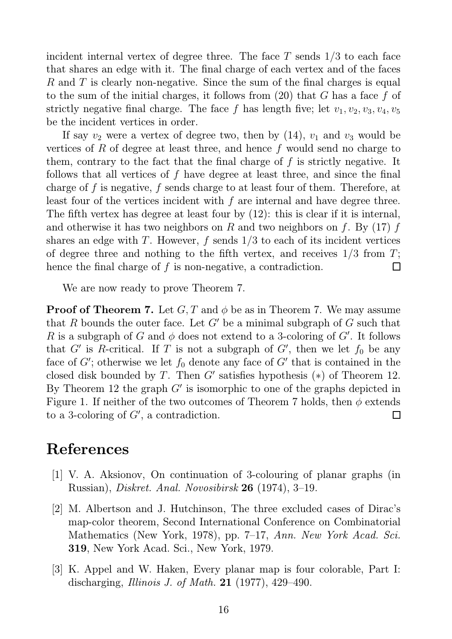incident internal vertex of degree three. The face  $T$  sends  $1/3$  to each face that shares an edge with it. The final charge of each vertex and of the faces R and T is clearly non-negative. Since the sum of the final charges is equal to the sum of the initial charges, it follows from  $(20)$  that G has a face f of strictly negative final charge. The face f has length five; let  $v_1, v_2, v_3, v_4, v_5$ be the incident vertices in order.

If say  $v_2$  were a vertex of degree two, then by (14),  $v_1$  and  $v_3$  would be vertices of R of degree at least three, and hence  $f$  would send no charge to them, contrary to the fact that the final charge of f is strictly negative. It follows that all vertices of f have degree at least three, and since the final charge of f is negative, f sends charge to at least four of them. Therefore, at least four of the vertices incident with  $f$  are internal and have degree three. The fifth vertex has degree at least four by (12): this is clear if it is internal, and otherwise it has two neighbors on R and two neighbors on f. By  $(17)$  f shares an edge with T. However,  $f$  sends  $1/3$  to each of its incident vertices of degree three and nothing to the fifth vertex, and receives  $1/3$  from T; hence the final charge of  $f$  is non-negative, a contradiction. П

We are now ready to prove Theorem 7.

**Proof of Theorem 7.** Let  $G, T$  and  $\phi$  be as in Theorem 7. We may assume that R bounds the outer face. Let  $G'$  be a minimal subgraph of G such that R is a subgraph of G and  $\phi$  does not extend to a 3-coloring of G'. It follows that  $G'$  is R-critical. If T is not a subgraph of  $G'$ , then we let  $f_0$  be any face of  $G'$ ; otherwise we let  $f_0$  denote any face of  $G'$  that is contained in the closed disk bounded by T. Then  $G'$  satisfies hypothesis  $(*)$  of Theorem 12. By Theorem 12 the graph  $G'$  is isomorphic to one of the graphs depicted in Figure 1. If neither of the two outcomes of Theorem 7 holds, then  $\phi$  extends to a 3-coloring of  $G'$ , a contradiction.  $\Box$ 

# References

- [1] V. A. Aksionov, On continuation of 3-colouring of planar graphs (in Russian), Diskret. Anal. Novosibirsk 26 (1974), 3–19.
- [2] M. Albertson and J. Hutchinson, The three excluded cases of Dirac's map-color theorem, Second International Conference on Combinatorial Mathematics (New York, 1978), pp. 7–17, Ann. New York Acad. Sci. 319, New York Acad. Sci., New York, 1979.
- [3] K. Appel and W. Haken, Every planar map is four colorable, Part I: discharging, Illinois J. of Math. 21 (1977), 429–490.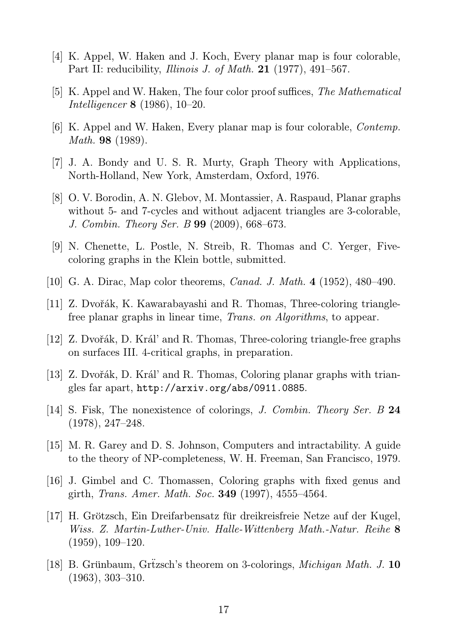- [4] K. Appel, W. Haken and J. Koch, Every planar map is four colorable, Part II: reducibility, *Illinois J. of Math.* **21** (1977), 491–567.
- [5] K. Appel and W. Haken, The four color proof suffices, The Mathematical Intelligencer 8 (1986), 10–20.
- [6] K. Appel and W. Haken, Every planar map is four colorable, Contemp. Math. 98 (1989).
- [7] J. A. Bondy and U. S. R. Murty, Graph Theory with Applications, North-Holland, New York, Amsterdam, Oxford, 1976.
- [8] O. V. Borodin, A. N. Glebov, M. Montassier, A. Raspaud, Planar graphs without 5- and 7-cycles and without adjacent triangles are 3-colorable, J. Combin. Theory Ser. B 99 (2009), 668–673.
- [9] N. Chenette, L. Postle, N. Streib, R. Thomas and C. Yerger, Fivecoloring graphs in the Klein bottle, submitted.
- [10] G. A. Dirac, Map color theorems, *Canad. J. Math.* 4 (1952), 480–490.
- [11] Z. Dvořák, K. Kawarabayashi and R. Thomas, Three-coloring trianglefree planar graphs in linear time, Trans. on Algorithms, to appear.
- [12] Z. Dvořák, D. Král' and R. Thomas, Three-coloring triangle-free graphs on surfaces III. 4-critical graphs, in preparation.
- [13] Z. Dvořák, D. Král' and R. Thomas, Coloring planar graphs with triangles far apart, http://arxiv.org/abs/0911.0885.
- [14] S. Fisk, The nonexistence of colorings, J. Combin. Theory Ser. B 24 (1978), 247–248.
- [15] M. R. Garey and D. S. Johnson, Computers and intractability. A guide to the theory of NP-completeness, W. H. Freeman, San Francisco, 1979.
- [16] J. Gimbel and C. Thomassen, Coloring graphs with fixed genus and girth, Trans. Amer. Math. Soc. 349 (1997), 4555–4564.
- [17] H. Grötzsch, Ein Dreifarbensatz für dreikreisfreie Netze auf der Kugel, Wiss. Z. Martin-Luther-Univ. Halle-Wittenberg Math.-Natur. Reihe 8 (1959), 109–120.
- [18] B. Grünbaum, Grüzsch's theorem on 3-colorings, *Michigan Math. J.* 10 (1963), 303–310.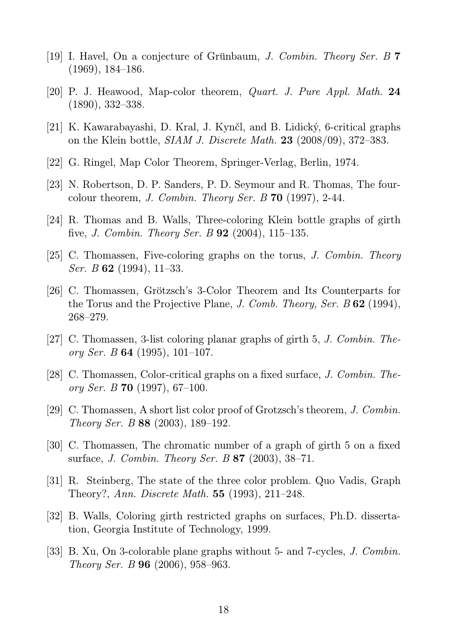- [19] I. Havel, On a conjecture of Grünbaum, J. Combin. Theory Ser. B 7 (1969), 184–186.
- [20] P. J. Heawood, Map-color theorem, Quart. J. Pure Appl. Math. 24 (1890), 332–338.
- [21] K. Kawarabayashi, D. Kral, J. Kynčl, and B. Lidický, 6-critical graphs on the Klein bottle, SIAM J. Discrete Math. 23 (2008/09), 372–383.
- [22] G. Ringel, Map Color Theorem, Springer-Verlag, Berlin, 1974.
- [23] N. Robertson, D. P. Sanders, P. D. Seymour and R. Thomas, The fourcolour theorem, J. Combin. Theory Ser. B  $70$  (1997), 2-44.
- [24] R. Thomas and B. Walls, Three-coloring Klein bottle graphs of girth five, *J. Combin. Theory Ser. B* **92** (2004), 115–135.
- [25] C. Thomassen, Five-coloring graphs on the torus, J. Combin. Theory *Ser. B* 62 (1994), 11-33.
- [26] C. Thomassen, Grötzsch's 3-Color Theorem and Its Counterparts for the Torus and the Projective Plane, J. Comb. Theory, Ser. B 62 (1994), 268–279.
- [27] C. Thomassen, 3-list coloring planar graphs of girth 5, J. Combin. Theory Ser. B 64 (1995), 101–107.
- [28] C. Thomassen, Color-critical graphs on a fixed surface, J. Combin. Theory Ser. B 70 (1997), 67–100.
- [29] C. Thomassen, A short list color proof of Grotzsch's theorem, J. Combin. Theory Ser. B 88 (2003), 189–192.
- [30] C. Thomassen, The chromatic number of a graph of girth 5 on a fixed surface, J. Combin. Theory Ser. B 87 (2003), 38–71.
- [31] R. Steinberg, The state of the three color problem. Quo Vadis, Graph Theory?, Ann. Discrete Math. 55 (1993), 211–248.
- [32] B. Walls, Coloring girth restricted graphs on surfaces, Ph.D. dissertation, Georgia Institute of Technology, 1999.
- [33] B. Xu, On 3-colorable plane graphs without 5- and 7-cycles, *J. Combin.* Theory Ser. B 96 (2006), 958–963.